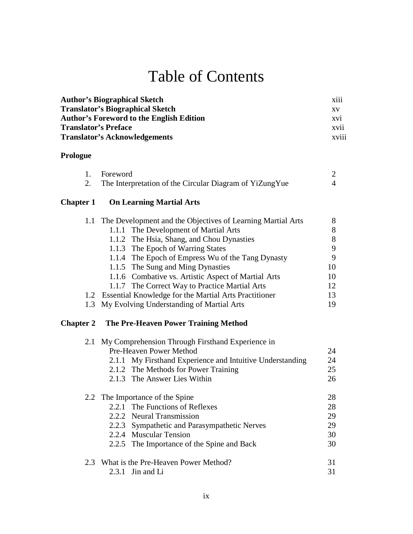# Table of Contents

| <b>Author's Biographical Sketch</b>             | $\cdots$<br><b>X111</b>  |
|-------------------------------------------------|--------------------------|
| <b>Translator's Biographical Sketch</b>         | <b>XV</b>                |
| <b>Author's Foreword to the English Edition</b> | XV1                      |
| <b>Translator's Preface</b>                     | XVI1                     |
| <b>Translator's Acknowledgements</b>            | $\cdots$<br><b>XV111</b> |

#### **Prologue**

| 1. Foreword                                             |  |
|---------------------------------------------------------|--|
| The Interpretation of the Circular Diagram of YiZungYue |  |

## **Chapter 1 On Learning Martial Arts**

| 1.1 The Development and the Objectives of Learning Martial Arts |    |
|-----------------------------------------------------------------|----|
| 1.1.1 The Development of Martial Arts                           | 8  |
| 1.1.2 The Hsia, Shang, and Chou Dynasties                       | 8  |
| 1.1.3 The Epoch of Warring States                               | 9  |
| 1.1.4 The Epoch of Empress Wu of the Tang Dynasty               | 9  |
| 1.1.5 The Sung and Ming Dynasties                               | 10 |
| 1.1.6 Combative vs. Artistic Aspect of Martial Arts             | 10 |
| 1.1.7 The Correct Way to Practice Martial Arts                  | 12 |
| 1.2 Essential Knowledge for the Martial Arts Practitioner       | 13 |
| 1.3 My Evolving Understanding of Martial Arts                   | 19 |

## **Chapter 2 The Pre-Heaven Power Training Method**

| 2.1 | My Comprehension Through Firsthand Experience in          |    |
|-----|-----------------------------------------------------------|----|
|     | Pre-Heaven Power Method                                   | 24 |
|     | 2.1.1 My Firsthand Experience and Intuitive Understanding | 24 |
|     | 2.1.2 The Methods for Power Training                      | 25 |
|     | 2.1.3 The Answer Lies Within                              | 26 |
|     | 2.2 The Importance of the Spine                           | 28 |
|     | 2.2.1 The Functions of Reflexes                           | 28 |
|     | 2.2.2 Neural Transmission                                 | 29 |
|     | 2.2.3 Sympathetic and Parasympathetic Nerves              | 29 |
|     | 2.2.4 Muscular Tension                                    | 30 |
|     | 2.2.5 The Importance of the Spine and Back                | 30 |
|     | 2.3 What is the Pre-Heaven Power Method?                  | 31 |
|     | $2.3.1$ Jin and Li                                        | 31 |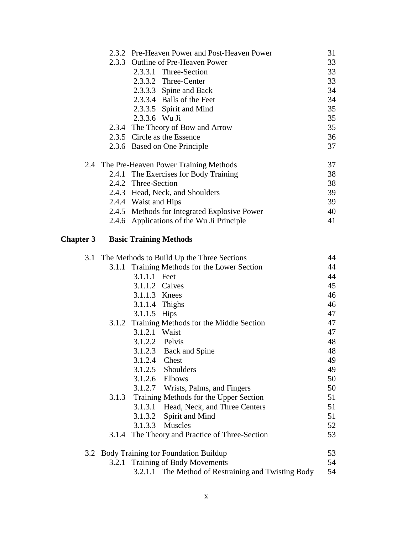|                  |       | 2.3.2 Pre-Heaven Power and Post-Heaven Power   | 31 |
|------------------|-------|------------------------------------------------|----|
|                  |       | 2.3.3 Outline of Pre-Heaven Power              | 33 |
|                  |       | 2.3.3.1 Three-Section                          | 33 |
|                  |       | 2.3.3.2 Three-Center                           | 33 |
|                  |       | 2.3.3.3 Spine and Back                         | 34 |
|                  |       | 2.3.3.4 Balls of the Feet                      | 34 |
|                  |       | 2.3.3.5 Spirit and Mind                        | 35 |
|                  |       | 2.3.3.6 Wu Ji                                  | 35 |
|                  |       | 2.3.4 The Theory of Bow and Arrow              | 35 |
|                  |       | 2.3.5 Circle as the Essence                    | 36 |
|                  |       | 2.3.6 Based on One Principle                   | 37 |
|                  |       | 2.4 The Pre-Heaven Power Training Methods      | 37 |
|                  |       | 2.4.1 The Exercises for Body Training          | 38 |
|                  |       | 2.4.2 Three-Section                            | 38 |
|                  |       | 2.4.3 Head, Neck, and Shoulders                | 39 |
|                  |       | 2.4.4 Waist and Hips                           | 39 |
|                  |       | 2.4.5 Methods for Integrated Explosive Power   | 40 |
|                  |       | 2.4.6 Applications of the Wu Ji Principle      | 41 |
| <b>Chapter 3</b> |       | <b>Basic Training Methods</b>                  |    |
| 3.1              |       | The Methods to Build Up the Three Sections     | 44 |
|                  |       | 3.1.1 Training Methods for the Lower Section   | 44 |
|                  |       | 3.1.1.1 Feet                                   | 44 |
|                  |       | 3.1.1.2 Calves                                 | 45 |
|                  |       | 3.1.1.3 Knees                                  | 46 |
|                  |       | 3.1.1.4 Thighs                                 | 46 |
|                  |       | 3.1.1.5 Hips                                   | 47 |
|                  |       | 3.1.2 Training Methods for the Middle Section  | 47 |
|                  |       | 3.1.2.1 Waist                                  | 47 |
|                  |       | 3.1.2.2 Pelvis                                 | 48 |
|                  |       | 3.1.2.3 Back and Spine                         | 48 |
|                  |       | 3.1.2.4 Chest                                  | 49 |
|                  |       | 3.1.2.5<br>Shoulders                           | 49 |
|                  |       | Elbows<br>3.1.2.6                              | 50 |
|                  |       | 3.1.2.7 Wrists, Palms, and Fingers             | 50 |
|                  | 3.1.3 | Training Methods for the Upper Section         | 51 |
|                  |       | 3.1.3.1<br>Head, Neck, and Three Centers       | 51 |
|                  |       | 3.1.3.2<br>Spirit and Mind                     | 51 |
|                  |       | <b>Muscles</b><br>3.1.3.3                      | 52 |
|                  |       | 3.1.4 The Theory and Practice of Three-Section | 53 |
|                  |       | 3.2 Body Training for Foundation Buildup       | 53 |
|                  |       | 3.2.1 Training of Body Movements               | 54 |

3.2.1.1 The Method of Restraining and Twisting Body 54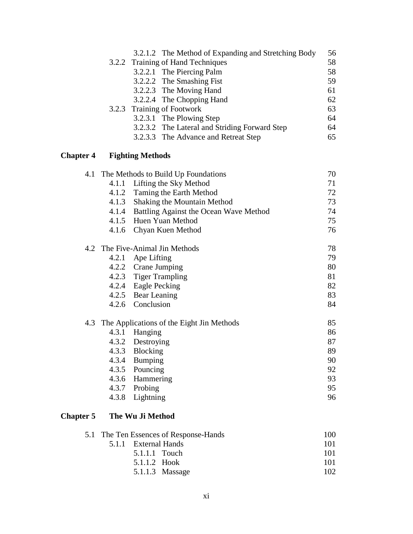|  | 3.2.1.2 The Method of Expanding and Stretching Body | 56 |
|--|-----------------------------------------------------|----|
|  | 3.2.2 Training of Hand Techniques                   | 58 |
|  | 3.2.2.1 The Piercing Palm                           | 58 |
|  | 3.2.2.2 The Smashing Fist                           | 59 |
|  | 3.2.2.3 The Moving Hand                             | 61 |
|  | 3.2.2.4 The Chopping Hand                           | 62 |
|  | 3.2.3 Training of Footwork                          | 63 |
|  | 3.2.3.1 The Plowing Step                            | 64 |
|  | 3.2.3.2 The Lateral and Striding Forward Step       | 64 |
|  | 3.2.3.3 The Advance and Retreat Step                | 65 |
|  |                                                     |    |

## **Chapter 4 Fighting Methods**

| 4.1 |       | The Methods to Build Up Foundations       | 70 |
|-----|-------|-------------------------------------------|----|
|     | 4.1.1 | Lifting the Sky Method                    | 71 |
|     |       | 4.1.2 Taming the Earth Method             | 72 |
|     | 4.1.3 | Shaking the Mountain Method               | 73 |
|     | 4.1.4 | Battling Against the Ocean Wave Method    | 74 |
|     | 4.1.5 | Huen Yuan Method                          | 75 |
|     | 4.1.6 | Chyan Kuen Method                         | 76 |
| 4.2 |       | The Five-Animal Jin Methods               | 78 |
|     | 4.2.1 | Ape Lifting                               | 79 |
|     |       | 4.2.2 Crane Jumping                       | 80 |
|     |       | 4.2.3 Tiger Trampling                     | 81 |
|     |       | 4.2.4 Eagle Pecking                       | 82 |
|     |       | 4.2.5 Bear Leaning                        | 83 |
|     |       | 4.2.6 Conclusion                          | 84 |
| 4.3 |       | The Applications of the Eight Jin Methods | 85 |
|     | 4.3.1 | Hanging                                   | 86 |
|     |       | 4.3.2 Destroying                          | 87 |
|     | 4.3.3 | Blocking                                  | 89 |
|     | 4.3.4 | Bumping                                   | 90 |
|     | 4.3.5 | Pouncing                                  | 92 |
|     | 4.3.6 | Hammering                                 | 93 |
|     | 4.3.7 | Probing                                   | 95 |
|     | 4.3.8 | Lightning                                 | 96 |

## **Chapter 5 The Wu Ji Method**

| 5.1 The Ten Essences of Response-Hands |                      |      |
|----------------------------------------|----------------------|------|
|                                        | 5.1.1 External Hands | 101  |
|                                        | 5.1.1.1 Touch        | 101  |
|                                        | 5.1.1.2 Hook         | 101  |
|                                        | $5.1.1.3$ Massage    | 102. |